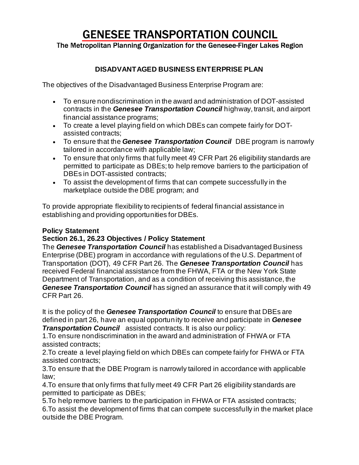## **GENESEE TRANSPORTATION COUNCIL**

The Metropolitan Planning Organization for the Genesee-Finger Lakes Region

## **DISADVANTAGED BUSINESS ENTERPRISE PLAN**

The objectives of the Disadvantaged Business Enterprise Program are:

- To ensure nondiscrimination in the award and administration of DOT-assisted contracts in the *Genesee Transportation Council* highway, transit, and airport financial assistance programs;
- To create a level playing field on which DBEs can compete fairly for DOTassisted contracts;
- To ensure that the *Genesee Transportation Council* DBE program is narrowly tailored in accordance with applicable law;
- To ensure that only firms that fully meet 49 CFR Part 26 eligibility standards are permitted to participate as DBEs; to help remove barriers to the participation of DBEs in DOT-assisted contracts:
- To assist the development of firms that can compete successfully in the marketplace outside the DBE program; and

To provide appropriate flexibility to recipients of federal financial assistance in establishing and providing opportunities for DBEs.

## **Policy Statement**

## **Section 26.1, 26.23 Objectives / Policy Statement**

The *Genesee Transportation Council* has established a Disadvantaged Business Enterprise (DBE) program in accordance with regulations of the U.S. Department of Transportation (DOT), 49 CFR Part 26. The *Genesee Transportation Council* has received Federal financial assistance from the FHWA, FTA or the New York State Department of Transportation, and as a condition of receiving this assistance, the *Genesee Transportation Council* has signed an assurance that it will comply with 49 CFR Part 26.

It is the policy of the *Genesee Transportation Council* to ensure that DBEs are defined in part 26, have an equal opportunity to receive and participate in *Genesee*  **Transportation Council** assisted contracts. It is also our policy:

1.To ensure nondiscrimination in the award and administration of FHWA or FTA assisted contracts;

2.To create a level playing field on which DBEs can compete fairly for FHWA or FTA assisted contracts;

3.To ensure that the DBE Program is narrowly tailored in accordance with applicable law;

4.To ensure that only firms that fully meet 49 CFR Part 26 eligibility standards are permitted to participate as DBEs;

5.To help remove barriers to the participation in FHWA or FTA assisted contracts;

6.To assist the development of firms that can compete successfully in the market place outside the DBE Program.